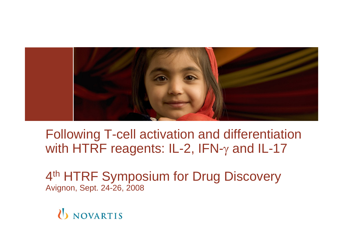

Following T-cell activation and differentiation with HTRF reagents: IL-2, IFN- $\gamma$  and IL-17

4<sup>th</sup> HTRF Symposium for Drug Discovery Avignon, Sept. 24-26, 2008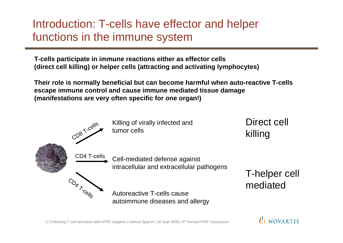## Introduction: T-cells have effector and helper functions in the immune system

**T-cells participate in immune reactions either as effector cells (direct cell killing) or helper cells (attracting and activating lymphocytes)**

**Their role is normally beneficial but can become harmful when auto-reactive T-cells escape immune control and cause immune mediated tissue damage (manifestations are very often specific for one organ!)**

Autoreactive T-cells cause autoimmune diseases and allergy Killing of virally infected and tumor cellsCell-mediated defense against intracellular and extracellular pathogens CD8 T-cells CD<sub>A Trocalls</sub> CD4 T-cells Direct cell killing T-helper cell mediated

### IN NOVARTIS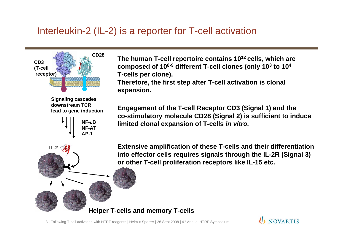### Interleukin-2 (IL-2) is a reporter for T-cell activation



**Signaling cascades downstream TCRlead to gene induction**



**IL-2**

**The human T-cell repertoire contains 1012 cells, which are composed of 108-9 different T-cell clones (only 103 to 104 T-cells per clone). Therefore, the first step after T-cell activation is clonal expansion.**

**Engagement of the T-cell Receptor CD3 (Signal 1) and the co-stimulatory molecule CD28 (Signal 2) is sufficient to induce limited clonal expansion of T-cells** *in vitro.*

**Extensive amplification of these T-cells and their differentiation into effector cells requires signals through the IL-2R (Signal 3) or other T-cell proliferation receptors like IL-15 etc.** 

**I** NOVARTIS

#### **Helper T-cells and memory T-cells**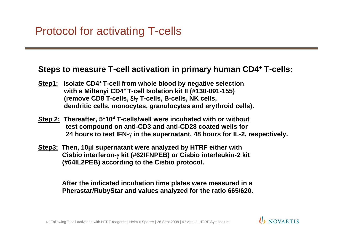### **Steps to measure T-cell activation in primary human CD4+ T-cells:**

- **Step1: Isolate CD4+ T-cell from whole blood by negative selection with a Miltenyi CD4+ T-cell Isolation kit II (#130-091-155) (remove CD8 T-cells,**  δ**/**γ **T-cells, B-cells, NK cells, dendritic cells, monocytes, granulocytes and erythroid cells).**
- **Step 2: Thereafter, 5\*104 T-cells/well were incubated with or without test compound on anti-CD3 and anti-CD28 coated wells for 24 hours to test IFN-**γ **in the supernatant, 48 hours for IL-2, respectively.**
- **Step3: Then, 10µl supernatant were analyzed by HTRF either with Cisbio interferon-**γ **kit (#62IFNPEB) or Cisbio interleukin-2 kit (#64IL2PEB) according to the Cisbio protocol.**

**After the indicated incubation time plates were measured in a Pherastar/RubyStar and values analyzed for the ratio 665/620.**

IN NOVARTIS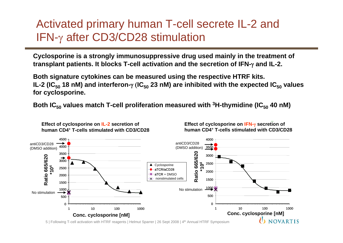## Activated primary human T-cell secrete IL-2 and IFN-γ after CD3/CD28 stimulation

**Cyclosporine is a strongly immunosuppressive drug used mainly in the treatment of transplant patients. It blocks T-cell activation and the secretion of IFN-**γ **and IL-2.**

**Both signature cytokines can be measured using the respective HTRF kits. IL-2 (IC<sub>50</sub> 18 nM) and interferon-**γ (IC<sub>50</sub> 23 nM) are inhibited with the expected IC<sub>50</sub> values **for cyclosporine.**

Both IC<sub>50</sub> values match T-cell proliferation measured with <sup>3</sup>H-thymidine (IC<sub>50</sub> 40 nM)



**Effect of cyclosporine on IL-2 secretion of human CD4+ T-cells stimulated with CD3/CD28** 

**Effect of cyclosporine on IFN-**γ **secretion of human CD4+ T-cells stimulated with CD3/CD28** 

<sup>5</sup> | Following T-cell activation with HTRF reagents | Helmut Sparrer | 26 Sept 2008 | 4th Annual HTRF Symposium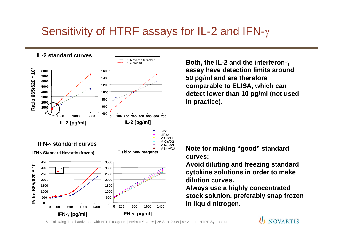## Sensitivity of HTRF assays for IL-2 and IFN- $\gamma$



**Both, the IL-2 and the interferon-**γ **assay have detection limits around 50 pg/ml and are therefore comparable to ELISA, which can detect lower than 10 pg/ml (not used in practice).**

**Note for making "good" standard curves:**

**Avoid diluting and freezing standard cytokine solutions in order to make dilution curves.**

**Always use a highly concentrated stock solution, preferably snap frozen in liquid nitrogen.**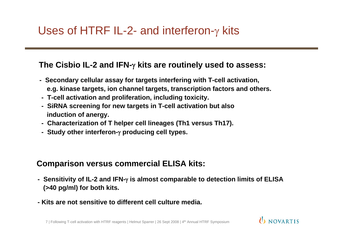### **The Cisbio IL-2 and IFN-**γ **kits are routinely used to assess:**

- **Secondary cellular assay for targets interfering with T-cell activation, e.g. kinase targets, ion channel targets, transcription factors and others.**
- **T-cell activation and proliferation, including toxicity.**
- **SiRNA screening for new targets in T-cell activation but also induction of anergy.**
- **Characterization of T helper cell lineages (Th1 versus Th17).**
- **Study other interferon-**γ **producing cell types.**

### **Comparison versus commercial ELISA kits:**

**- Sensitivity of IL-2 and IFN-**γ **is almost comparable to detection limits of ELISA (>40 pg/ml) for both kits.**

IN NOVARTIS

**- Kits are not sensitive to different cell culture media.**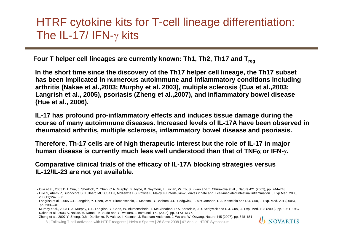## HTRF cytokine kits for T-cell lineage differentiation: The IL-17/ IFN- $\gamma$  kits

Four T helper cell lineages are currently known: Th1, Th2, Th17 and T<sub>reg</sub>

**In the short time since the discovery of the Th17 helper cell lineage, the Th17 subset has been implicated in numerous autoimmune and inflammatory conditions including arthritis (Nakae et al.,2003; Murphy et al. 2003), multiple sclerosis (Cua et al.,2003; Langrish et al., 2005), psoriasis (Zheng et al.,2007), and inflammatory bowel disease (Hue et al., 2006).**

**IL-17 has profound pro-inflammatory effects and induces tissue damage during the course of many autoimmune diseases. Increased levels of IL-17A have been observed in rheumatoid arthritis, multiple sclerosis, inflammatory bowel disease and psoriasis.**

**Therefore, Th-17 cells are of high therapeutic interest but the role of IL-17 in major human disease is currently much less well understood than that of TNF** α **or IFN-**γ**.**

**Comparative clinical trials of the efficacy of IL-17A blocking strategies versus IL-12/IL-23 are not yet available.** 

<sup>8</sup> | Following T-cell activation with HTRF reagents | Helmut Sparrer | 26 Sept 2008 | 4th Annual HTRF Symposium



<sup>-</sup> Cua et al., 2003 D.J. Cua, J. Sherlock, Y. Chen, C.A. Murphy, B. Joyce, B. Seymour, L. Lucian, W. To, S. Kwan and T. Churakova et al., Nature 421 (2003), pp. 744–748. - Hue S, Ahern P, Buonocore S, Kullberg MC, Cua DJ, McKenzie BS, Powrie F, Maloy KJ.Interleukin-23 drives innate and T cell-mediated intestinal inflammation. J Exp Med. 2006,

<sup>203(11):2473-83.</sup> 

<sup>-</sup> Langrish et al., 2005 C.L. Langrish, Y. Chen, W.M. Blumenschein, J. Mattson, B. Basham, J.D. Sedgwick, T. McClanahan, R.A. Kastelein and D.J. Cua, J. Exp. Med. 201 (2005), pp. 233–240.

<sup>-</sup> Murphy et al., 2003 C.A. Murphy, C.L. Langrish, Y. Chen, W. Blumenschein, T. McClanahan, R.A. Kastelein, J.D. Sedgwick and D.J. Cua, J. Exp. Med. 198 (2003), pp. 1951–1957.

<sup>-</sup> Nakae et al., 2003 S. Nakae, A. Nambu, K. Sudo and Y. Iwakura, J. Immunol. 171 (2003), pp. 6173–6177.

<sup>-</sup> Zheng et al., 2007 Y. Zheng, D.M. Danilenko, P. Valdez, I. Kasman, J. Eastham-Anderson, J. Wu and W. Ouyang, Nature 445 (2007), pp. 648–651.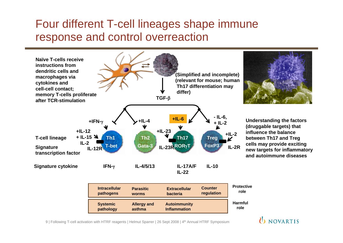## Four different T-cell lineages shape immune response and control overreaction



9 | Following T-cell activation with HTRF reagents | Helmut Sparrer | 26 Sept 2008 | 4th Annual HTRF Symposium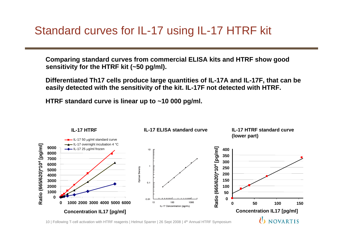**Comparing standard curves from commercial ELISA kits and HTRF show good sensitivity for the HTRF kit (~50 pg/ml).**

**Differentiated Th17 cells produce large quantities of IL-17A and IL-17F, that can be easily detected with the sensitivity of the kit. IL-17F not detected with HTRF.**

**HTRF standard curve is linear up to ~10 000 pg/ml.** 

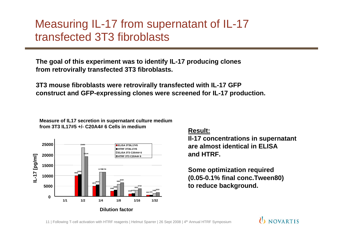## Measuring IL-17 from supernatant of IL-17 transfected 3T3 fibroblasts

**The goal of this experiment was to identify IL-17 producing clones from retrovirally transfected 3T3 fibroblasts.**

**3T3 mouse fibroblasts were retrovirally transfected with IL-17 GFP construct and GFP-expressing clones were screened for IL-17 production.**

**Measure of IL17 secretion in supernatant culture medium from 3T3 IL17#5 +/- C20A4# 6 Cells in medium**



#### **Result:**

**Il-17 concentrations in supernatant are almost identical in ELISA and HTRF.**

**Some optimization required (0.05-0.1% final conc.Tween80) to reduce background.**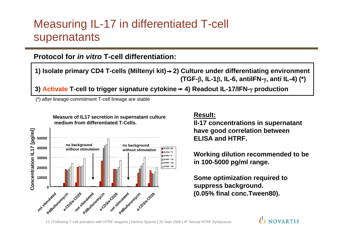## Measuring IL-17 in differentiated T-cell supernatants

### **Protocol for** *in vitro* **T-cell differentiation:**

**1) Isolate primary CD4 T-cells (Miltenyi kit) 2) Culture under differentiating environment (TGF-**β**, IL-1** β**, IL-6, antiIFN-**γ**, anti IL-4) (\*)**

**3) Activate T-cell to trigger signature cytokine 4) Readout IL-17/IFN-**γ **production**

(\*) after lineage commitment T-cell lineage are stable

**Measure of IL17 secretion in supernatant culture medium from differentiated T-Cells.**



#### **Result:**

**Il-17 concentrations in supernatant have good correlation between ELISA and HTRF.**

**Working dilution recommended to be in 100-5000 pg/ml range.**

**Some optimization required to suppress background. (0.05% final conc.Tween80).**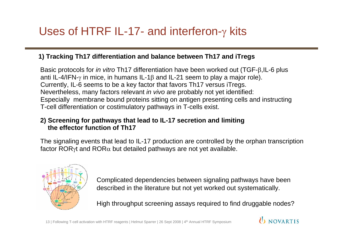# Uses of HTRF IL-17- and interferon- $\gamma$  kits

#### **1) Tracking Th17 differentiation and balance between Th17 and iTregs**

Basic protocols for *in vitro* Th17 differentiation have been worked out (TGF-β,IL-6 plus anti IL-4/IFN- $\gamma$  in mice, in humans IL-1β and IL-21 seem to play a major role). Currently, IL-6 seems to be a key factor that favors Th17 versus iTregs. Nevertheless, many factors relevant *in vivo* are probably not yet identified: Especially membrane bound proteins sitting on antigen presenting cells and instructing T-cell differentiation or costimulatory pathways in T-cells exist.

#### **2) Screening for pathways that lead to IL-17 secretion and limiting the effector function of Th17**

The signaling events that lead to IL-17 production are controlled by the orphan transcription factor ROR $\gamma$ t and ROR $\alpha$  but detailed pathways are not yet available.



Complicated dependencies between signaling pathways have been described in the literature but not yet worked out systematically.

High throughput screening assays required to find druggable nodes?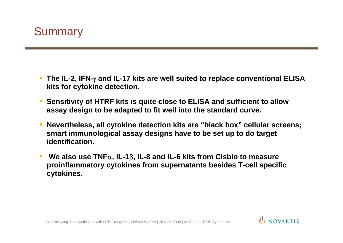

- **The IL-2, IFN-**γ and IL-17 kits are well suited to replace conventional ELISA **kits for cytokine detection.**
- **Sensitivity of HTRF kits is quite close to ELISA and sufficient to allow assay design to be adapted to fit well into the standard curve.**
- П **Nevertheless, all cytokine detection kits are "black box" cellular screens; smart immunological assay designs have to be set up to do target identification.**

IN NOVARTIS

E **We also use TNF** <sup>α</sup>**, IL-1** β**, IL-8 and IL-6 kits from Cisbio to measure proinflammatory cytokines from supernatants besides T-cell specific cytokines.**